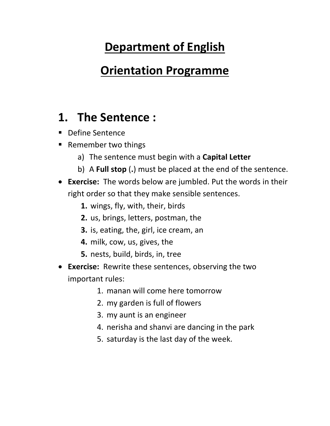# **Department of English**

### **Orientation Programme**

### **1. The Sentence :**

- Define Sentence
- Remember two things
	- a) The sentence must begin with a **Capital Letter**
	- b) A **Full stop** (**.**) must be placed at the end of the sentence.
- **Exercise:** The words below are jumbled. Put the words in their right order so that they make sensible sentences.
	- **1.** wings, fly, with, their, birds
	- **2.** us, brings, letters, postman, the
	- **3.** is, eating, the, girl, ice cream, an
	- **4.** milk, cow, us, gives, the
	- **5.** nests, build, birds, in, tree
- **Exercise:** Rewrite these sentences, observing the two important rules:
	- 1. manan will come here tomorrow
	- 2. my garden is full of flowers
	- 3. my aunt is an engineer
	- 4. nerisha and shanvi are dancing in the park
	- 5. saturday is the last day of the week.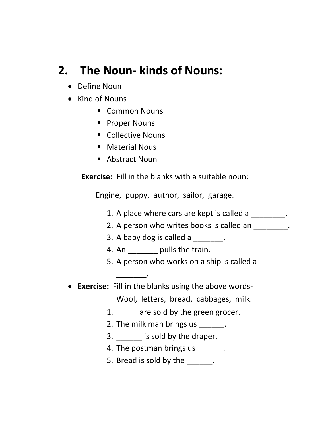## **2. The Noun- kinds of Nouns:**

- Define Noun
- Kind of Nouns
	- Common Nouns
	- Proper Nouns
	- Collective Nouns
	- Material Nous
	- Abstract Noun

\_\_\_\_\_\_\_.

**Exercise:** Fill in the blanks with a suitable noun:

Engine, puppy, author, sailor, garage.

- 1. A place where cars are kept is called a
- 2. A person who writes books is called an  $\blacksquare$ .
- 3. A baby dog is called a manufactured a
- 4. An \_\_\_\_\_\_\_ pulls the train.
- 5. A person who works on a ship is called a
- **Exercise:** Fill in the blanks using the above words-

Wool, letters, bread, cabbages, milk.

- 1. **are sold by the green grocer.**
- 2. The milk man brings us \_\_\_\_\_\_\_.
- 3. \_\_\_\_\_ is sold by the draper.
- 4. The postman brings us \_\_\_\_\_\_\_.
- 5. Bread is sold by the  $\qquad \qquad$ .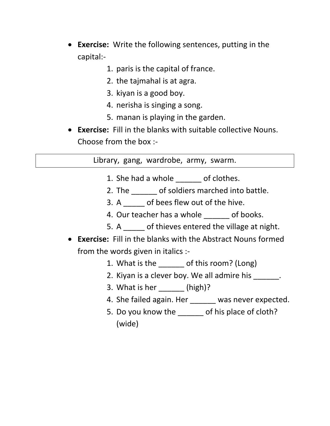- **Exercise:** Write the following sentences, putting in the capital:-
	- 1. paris is the capital of france.
	- 2. the tajmahal is at agra.
	- 3. kiyan is a good boy.
	- 4. nerisha is singing a song.
	- 5. manan is playing in the garden.
- **Exercise:** Fill in the blanks with suitable collective Nouns. Choose from the box :-

Library, gang, wardrobe, army, swarm.

- 1. She had a whole of clothes.
- 2. The of soldiers marched into battle.
- 3. A cf bees flew out of the hive.
- 4. Our teacher has a whole of books.
- 5. A \_\_\_\_\_ of thieves entered the village at night.
- **Exercise:** Fill in the blanks with the Abstract Nouns formed from the words given in italics :-
	- 1. What is the control of this room? (Long)
	- 2. Kiyan is a clever boy. We all admire his
	- 3. What is her (high)?
	- 4. She failed again. Her was never expected.
	- 5. Do you know the \_\_\_\_\_\_ of his place of cloth? (wide)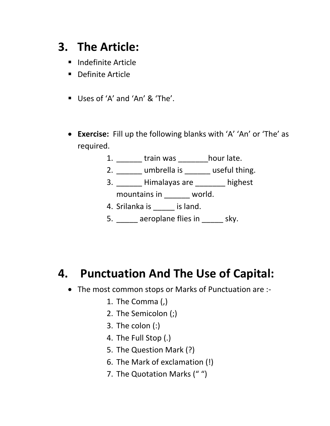## **3. The Article:**

- Indefinite Article
- Definite Article
- Uses of 'A' and 'An' & 'The'.
- **Exercise:** Fill up the following blanks with 'A' 'An' or 'The' as required.
	- 1. \_\_\_\_\_\_ train was \_\_\_\_\_\_\_hour late.
	- 2. \_\_\_\_\_\_ umbrella is \_\_\_\_\_\_ useful thing.
	- 3. \_\_\_\_\_\_ Himalayas are \_\_\_\_\_\_\_ highest mountains in \_\_\_\_\_\_ world.
	- 4. Srilanka is \_\_\_\_\_ is land.
	- 5. **deeling a** aeroplane flies in early sky.

### **4. Punctuation And The Use of Capital:**

- The most common stops or Marks of Punctuation are :-
	- 1. The Comma (,)
	- 2. The Semicolon (;)
	- 3. The colon (:)
	- 4. The Full Stop (.)
	- 5. The Question Mark (?)
	- 6. The Mark of exclamation (!)
	- 7. The Quotation Marks (" ")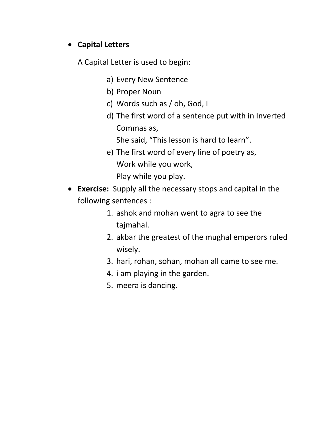#### • **Capital Letters**

A Capital Letter is used to begin:

- a) Every New Sentence
- b) Proper Noun
- c) Words such as / oh, God, I
- d) The first word of a sentence put with in Inverted Commas as,

She said, "This lesson is hard to learn".

- e) The first word of every line of poetry as, Work while you work, Play while you play.
- **Exercise:** Supply all the necessary stops and capital in the following sentences :
	- 1. ashok and mohan went to agra to see the tajmahal.
	- 2. akbar the greatest of the mughal emperors ruled wisely.
	- 3. hari, rohan, sohan, mohan all came to see me.
	- 4. i am playing in the garden.
	- 5. meera is dancing.